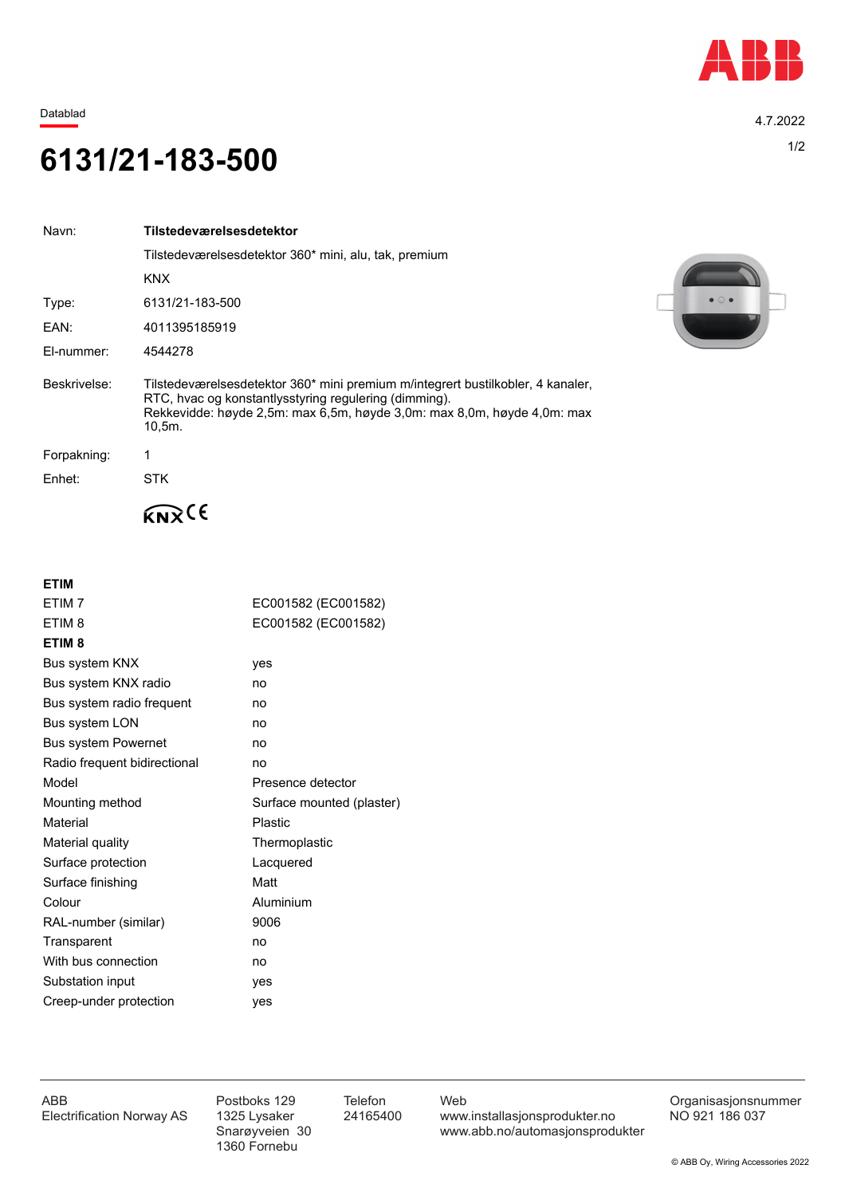

## 1/2 **6131/21-183-500**

| Navn:        | Tilstedeværelsesdetektor                                                                                                                                                                                                         |
|--------------|----------------------------------------------------------------------------------------------------------------------------------------------------------------------------------------------------------------------------------|
|              | Tilstedeværelsesdetektor 360* mini, alu, tak, premium                                                                                                                                                                            |
|              | <b>KNX</b>                                                                                                                                                                                                                       |
| Type:        | 6131/21-183-500                                                                                                                                                                                                                  |
| EAN:         | 4011395185919                                                                                                                                                                                                                    |
| El-nummer:   | 4544278                                                                                                                                                                                                                          |
| Beskrivelse: | Tilstedeværelsesdetektor 360* mini premium m/integrert bustilkobler, 4 kanaler,<br>RTC, hvac og konstantlysstyring regulering (dimming).<br>Rekkevidde: høyde 2,5m: max 6,5m, høyde 3,0m: max 8,0m, høyde 4,0m: max<br>$10,5m$ . |
| Forpakning:  |                                                                                                                                                                                                                                  |
| Enhet:       | STK.                                                                                                                                                                                                                             |
|              |                                                                                                                                                                                                                                  |

**ETIM**

| ETIM <sub>7</sub>            | EC001582 (EC001582)       |
|------------------------------|---------------------------|
| ETIM <sub>8</sub>            | EC001582 (EC001582)       |
| ETIM <sub>8</sub>            |                           |
| Bus system KNX               | yes                       |
| Bus system KNX radio         | no                        |
| Bus system radio frequent    | no                        |
| Bus system LON               | no                        |
| <b>Bus system Powernet</b>   | no                        |
| Radio frequent bidirectional | no                        |
| Model                        | Presence detector         |
| Mounting method              | Surface mounted (plaster) |
| Material                     | <b>Plastic</b>            |
| Material quality             | Thermoplastic             |
| Surface protection           | Lacquered                 |
| Surface finishing            | Matt                      |
| Colour                       | Aluminium                 |
| RAL-number (similar)         | 9006                      |
| Transparent                  | no                        |
| With bus connection          | no                        |
| Substation input             | yes                       |
| Creep-under protection       | yes                       |
|                              |                           |

1360 Fornebu

ABB Postboks 129 Telefon Web Postboks 129 Telefon Web Crganisasjonsnummer<br>Electrification Norway AS 1325 Lysaker 24165400 www.installasjonsprodukter.no NO 921 186 037 1325 Lysaker 24165400 www.installasjonsprodukter.no<br>Snarøyveien 30 www.abb.no/automasjonsprodu www.abb.no/automasjonsprodukter